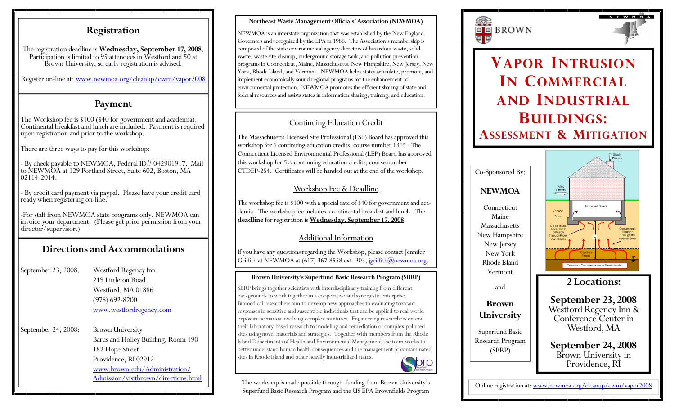### **Registration**

The registration deadline is **Wednesday, September 17, 2008**. Participation is limited to 95 attendees in Westford and 50 at Brown University, so early registration is advised.

Register on-line at: www.newmoa.org/cleanup/cwm/vapor2008

### **Payment**

The Workshop fee is \$100 (\$40 for government and academia). Continental breakfast and lunch are included. Payment is required upon registration and prior to the workshop.

There are three ways to pay for this workshop:

- By check payable to NEWMOA, Federal ID# 042901917. Mail to NEWMOA at 129 Portland Street, Suite 602, Boston, MA 02114-2014.

- By credit card payment via paypal. Please have your credit card ready when registering on-line.

-For staff from NEWMOA state programs only, NEWMOA can invoice your department. (Please get prior permission from your director/supervisor.)

## **Directions and Accommodations**

September 23, 2008: Westford Regency Inn 219 Littleton Road Westford, MA 01886 (978) 692-8200 www.westfordregency.com

September 24, 2008: Brown University Barus and Holley Building, Room 190 182 Hope Street Providence, RI 02912 www.brown.edu/Administration/ Admission/visitbrown/directions.html

#### **Northeast Waste Management Officials' Association (NEWMOA)**

NEWMOA is an interstate organization that was established by the New England Governors and recognized by the EPA in 1986. The Association's membership is composed of the state environmental agency directors of hazardous waste, solid waste, waste site cleanup, underground storage tank, and pollution prevention programs in Connecticut, Maine, Massachusetts, New Hampshire, New Jersey, New York, Rhode Island, and Vermont. NEWMOA helps states articulate, promote, and implement economically sound regional programs for the enhancement of environmental protection. NEWMOA promotes the efficient sharing of state and federal resources and assists states in information sharing, training, and education.

### Continuing Education Credit

The Massachusetts Licensed Site Professional (LSP) Board has approved this workshop for 6 continuing education credits, course number 1365. The Connecticut Licensed Environmental Professional (LEP) Board has approved this workshop for 5½ continuing education credits, course number CTDEP-254. Certificates will be handed out at the end of the workshop.

### Workshop Fee & Deadline

The workshop fee is \$100 with a special rate of \$40 for government and academia. The workshop fee includes a continental breakfast and lunch. The **deadline** for registration is **Wednesday, September 17, 2008**.

### Additional Information

If you have any questions regarding the Workshop, please contact Jennifer Griffith at NEWMOA at  $(617)$  367-8558 ext. 303, jgriffith@newmoa.org.

### **Brown University's Superfund Basic Research Program (SBRP)**

SBRP brings together scientists with interdisciplinary training from different backgrounds to work together in a cooperative and synergistic enterprise. Biomedical researchers aim to develop new approaches to evaluating toxicant responses in sensitive and susceptible individuals that can be applied to real world exposure scenarios involving complex mixtures. Engineering researchers extend their laboratory-based research to modeling and remediation of complex polluted sites using novel materials and strategies. Together with members from the Rhode Island Departments of Health and Environmental Management the team works to better understand human health consequences and the management of contaminated sites in Rhode Island and other heavily industrialized states.



The workshop is made possible through funding from Brown University's Superfund Basic Research Program and the US EPA Brownfields Program





# **VAPOR INTRUSIONI N COMMERCIALAND INDUSTRIALBUILDINGS: ASSESSMENT & MITIGATION**



Online registration at: www.newmoa.org/cleanup/cwm/vapor2008